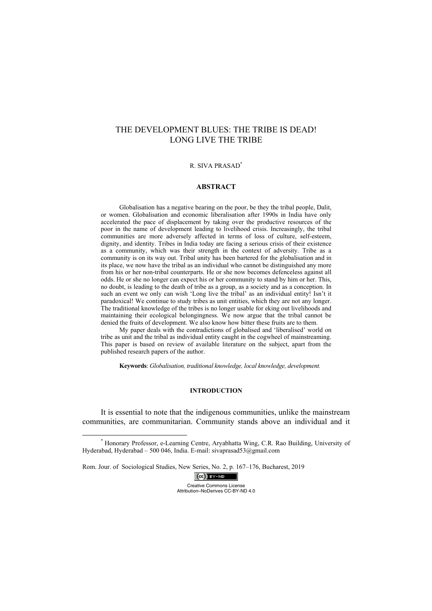## THE DEVELOPMENT BLUES: THE TRIBE IS DEAD! LONG LIVE THE TRIBE

## R. SIVA PRASAD\*

## **ABSTRACT**

Globalisation has a negative bearing on the poor, be they the tribal people, Dalit, or women. Globalisation and economic liberalisation after 1990s in India have only accelerated the pace of displacement by taking over the productive resources of the poor in the name of development leading to livelihood crisis. Increasingly, the tribal communities are more adversely affected in terms of loss of culture, self-esteem, dignity, and identity. Tribes in India today are facing a serious crisis of their existence as a community, which was their strength in the context of adversity. Tribe as a community is on its way out. Tribal unity has been bartered for the globalisation and in its place, we now have the tribal as an individual who cannot be distinguished any more from his or her non-tribal counterparts. He or she now becomes defenceless against all odds. He or she no longer can expect his or her community to stand by him or her. This, no doubt, is leading to the death of tribe as a group, as a society and as a conception. In such an event we only can wish 'Long live the tribal' as an individual entity! Isn't it paradoxical! We continue to study tribes as unit entities, which they are not any longer. The traditional knowledge of the tribes is no longer usable for eking out livelihoods and maintaining their ecological belongingness. We now argue that the tribal cannot be denied the fruits of development. We also know how bitter these fruits are to them.

My paper deals with the contradictions of globalised and 'liberalised' world on tribe as unit and the tribal as individual entity caught in the cogwheel of mainstreaming. This paper is based on review of available literature on the subject, apart from the published research papers of the author.

**Keywords**: *Globalisation, traditional knowledge, local knowledge, development.* 

## **INTRODUCTION**

It is essential to note that the indigenous communities, unlike the mainstream communities, are communitarian. Community stands above an individual and it

Rom. Jour. of Sociological Studies, New Series, No. 2, p. 167–176, Bucharest, 2019

 $(Cc)$  BY-ND Creative Commons License Attribution–NoDerives CC-BY-ND 4.0

 <sup>\*</sup> Honorary Professor, e-Learning Centre, Aryabhatta Wing, C.R. Rao Building, University of Hyderabad, Hyderabad – 500 046, India. E-mail: sivaprasad53@gmail.com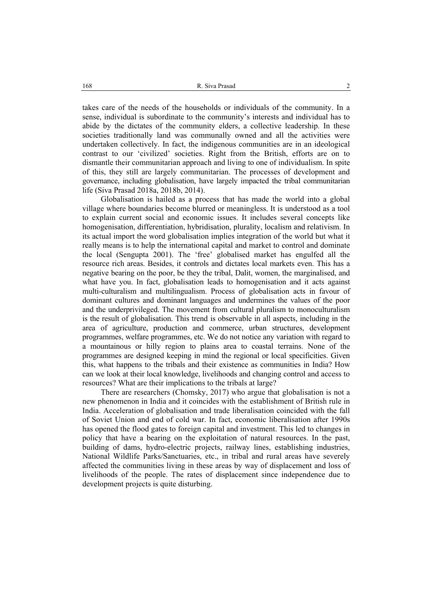takes care of the needs of the households or individuals of the community. In a sense, individual is subordinate to the community's interests and individual has to abide by the dictates of the community elders, a collective leadership. In these societies traditionally land was communally owned and all the activities were undertaken collectively. In fact, the indigenous communities are in an ideological contrast to our 'civilized' societies. Right from the British, efforts are on to dismantle their communitarian approach and living to one of individualism. In spite of this, they still are largely communitarian. The processes of development and governance, including globalisation, have largely impacted the tribal communitarian life (Siva Prasad 2018a, 2018b, 2014).

Globalisation is hailed as a process that has made the world into a global village where boundaries become blurred or meaningless. It is understood as a tool to explain current social and economic issues. It includes several concepts like homogenisation, differentiation, hybridisation, plurality, localism and relativism. In its actual import the word globalisation implies integration of the world but what it really means is to help the international capital and market to control and dominate the local (Sengupta 2001). The 'free' globalised market has engulfed all the resource rich areas. Besides, it controls and dictates local markets even. This has a negative bearing on the poor, be they the tribal, Dalit, women, the marginalised, and what have you. In fact, globalisation leads to homogenisation and it acts against multi-culturalism and multilingualism. Process of globalisation acts in favour of dominant cultures and dominant languages and undermines the values of the poor and the underprivileged. The movement from cultural pluralism to monoculturalism is the result of globalisation. This trend is observable in all aspects, including in the area of agriculture, production and commerce, urban structures, development programmes, welfare programmes, etc. We do not notice any variation with regard to a mountainous or hilly region to plains area to coastal terrains. None of the programmes are designed keeping in mind the regional or local specificities. Given this, what happens to the tribals and their existence as communities in India? How can we look at their local knowledge, livelihoods and changing control and access to resources? What are their implications to the tribals at large?

There are researchers (Chomsky, 2017) who argue that globalisation is not a new phenomenon in India and it coincides with the establishment of British rule in India. Acceleration of globalisation and trade liberalisation coincided with the fall of Soviet Union and end of cold war. In fact, economic liberalisation after 1990s has opened the flood gates to foreign capital and investment. This led to changes in policy that have a bearing on the exploitation of natural resources. In the past, building of dams, hydro-electric projects, railway lines, establishing industries, National Wildlife Parks/Sanctuaries, etc., in tribal and rural areas have severely affected the communities living in these areas by way of displacement and loss of livelihoods of the people. The rates of displacement since independence due to development projects is quite disturbing.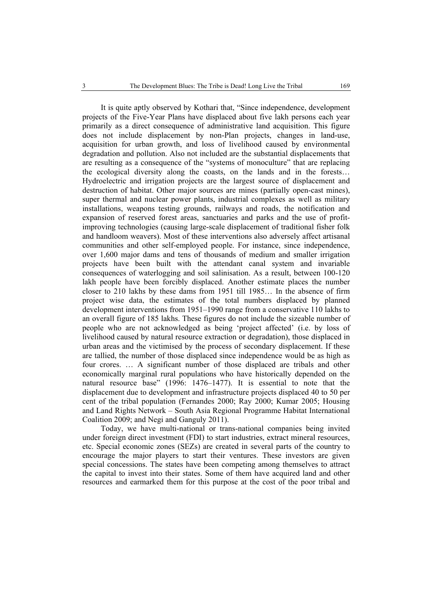It is quite aptly observed by Kothari that, "Since independence, development projects of the Five-Year Plans have displaced about five lakh persons each year primarily as a direct consequence of administrative land acquisition. This figure does not include displacement by non-Plan projects, changes in land-use, acquisition for urban growth, and loss of livelihood caused by environmental degradation and pollution. Also not included are the substantial displacements that are resulting as a consequence of the "systems of monoculture" that are replacing the ecological diversity along the coasts, on the lands and in the forests… Hydroelectric and irrigation projects are the largest source of displacement and destruction of habitat. Other major sources are mines (partially open-cast mines), super thermal and nuclear power plants, industrial complexes as well as military installations, weapons testing grounds, railways and roads, the notification and expansion of reserved forest areas, sanctuaries and parks and the use of profitimproving technologies (causing large-scale displacement of traditional fisher folk and handloom weavers). Most of these interventions also adversely affect artisanal communities and other self-employed people. For instance, since independence, over 1,600 major dams and tens of thousands of medium and smaller irrigation projects have been built with the attendant canal system and invariable consequences of waterlogging and soil salinisation. As a result, between 100-120 lakh people have been forcibly displaced. Another estimate places the number closer to 210 lakhs by these dams from 1951 till 1985… In the absence of firm project wise data, the estimates of the total numbers displaced by planned development interventions from 1951–1990 range from a conservative 110 lakhs to an overall figure of 185 lakhs. These figures do not include the sizeable number of people who are not acknowledged as being 'project affected' (i.e. by loss of livelihood caused by natural resource extraction or degradation), those displaced in urban areas and the victimised by the process of secondary displacement. If these are tallied, the number of those displaced since independence would be as high as four crores. … A significant number of those displaced are tribals and other economically marginal rural populations who have historically depended on the natural resource base" (1996: 1476–1477). It is essential to note that the displacement due to development and infrastructure projects displaced 40 to 50 per cent of the tribal population (Fernandes 2000; Ray 2000; Kumar 2005; Housing and Land Rights Network – South Asia Regional Programme Habitat International Coalition 2009; and Negi and Ganguly 2011).

Today, we have multi-national or trans-national companies being invited under foreign direct investment (FDI) to start industries, extract mineral resources, etc. Special economic zones (SEZs) are created in several parts of the country to encourage the major players to start their ventures. These investors are given special concessions. The states have been competing among themselves to attract the capital to invest into their states. Some of them have acquired land and other resources and earmarked them for this purpose at the cost of the poor tribal and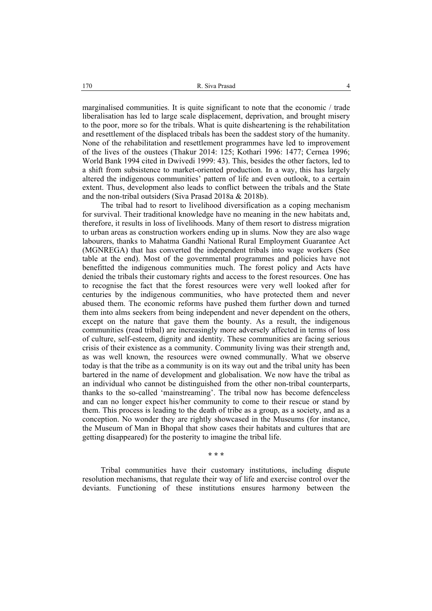marginalised communities. It is quite significant to note that the economic / trade liberalisation has led to large scale displacement, deprivation, and brought misery to the poor, more so for the tribals. What is quite disheartening is the rehabilitation and resettlement of the displaced tribals has been the saddest story of the humanity. None of the rehabilitation and resettlement programmes have led to improvement of the lives of the oustees (Thakur 2014: 125; Kothari 1996: 1477; Cernea 1996; World Bank 1994 cited in Dwivedi 1999: 43). This, besides the other factors, led to a shift from subsistence to market-oriented production. In a way, this has largely altered the indigenous communities' pattern of life and even outlook, to a certain extent. Thus, development also leads to conflict between the tribals and the State and the non-tribal outsiders (Siva Prasad 2018a & 2018b).

The tribal had to resort to livelihood diversification as a coping mechanism for survival. Their traditional knowledge have no meaning in the new habitats and, therefore, it results in loss of livelihoods. Many of them resort to distress migration to urban areas as construction workers ending up in slums. Now they are also wage labourers, thanks to Mahatma Gandhi National Rural Employment Guarantee Act (MGNREGA) that has converted the independent tribals into wage workers (See table at the end). Most of the governmental programmes and policies have not benefitted the indigenous communities much. The forest policy and Acts have denied the tribals their customary rights and access to the forest resources. One has to recognise the fact that the forest resources were very well looked after for centuries by the indigenous communities, who have protected them and never abused them. The economic reforms have pushed them further down and turned them into alms seekers from being independent and never dependent on the others, except on the nature that gave them the bounty. As a result, the indigenous communities (read tribal) are increasingly more adversely affected in terms of loss of culture, self-esteem, dignity and identity. These communities are facing serious crisis of their existence as a community. Community living was their strength and, as was well known, the resources were owned communally. What we observe today is that the tribe as a community is on its way out and the tribal unity has been bartered in the name of development and globalisation. We now have the tribal as an individual who cannot be distinguished from the other non-tribal counterparts, thanks to the so-called 'mainstreaming'. The tribal now has become defenceless and can no longer expect his/her community to come to their rescue or stand by them. This process is leading to the death of tribe as a group, as a society, and as a conception. No wonder they are rightly showcased in the Museums (for instance, the Museum of Man in Bhopal that show cases their habitats and cultures that are getting disappeared) for the posterity to imagine the tribal life.

**\* \* \*** 

Tribal communities have their customary institutions, including dispute resolution mechanisms, that regulate their way of life and exercise control over the deviants. Functioning of these institutions ensures harmony between the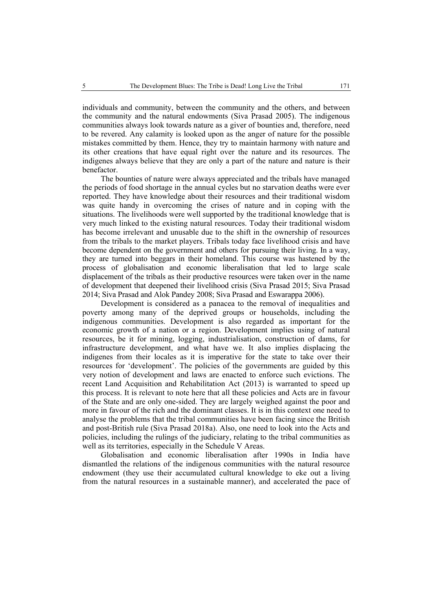individuals and community, between the community and the others, and between the community and the natural endowments (Siva Prasad 2005). The indigenous communities always look towards nature as a giver of bounties and, therefore, need to be revered. Any calamity is looked upon as the anger of nature for the possible mistakes committed by them. Hence, they try to maintain harmony with nature and its other creations that have equal right over the nature and its resources. The indigenes always believe that they are only a part of the nature and nature is their benefactor.

The bounties of nature were always appreciated and the tribals have managed the periods of food shortage in the annual cycles but no starvation deaths were ever reported. They have knowledge about their resources and their traditional wisdom was quite handy in overcoming the crises of nature and in coping with the situations. The livelihoods were well supported by the traditional knowledge that is very much linked to the existing natural resources. Today their traditional wisdom has become irrelevant and unusable due to the shift in the ownership of resources from the tribals to the market players. Tribals today face livelihood crisis and have become dependent on the government and others for pursuing their living. In a way, they are turned into beggars in their homeland. This course was hastened by the process of globalisation and economic liberalisation that led to large scale displacement of the tribals as their productive resources were taken over in the name of development that deepened their livelihood crisis (Siva Prasad 2015; Siva Prasad 2014; Siva Prasad and Alok Pandey 2008; Siva Prasad and Eswarappa 2006).

Development is considered as a panacea to the removal of inequalities and poverty among many of the deprived groups or households, including the indigenous communities. Development is also regarded as important for the economic growth of a nation or a region. Development implies using of natural resources, be it for mining, logging, industrialisation, construction of dams, for infrastructure development, and what have we. It also implies displacing the indigenes from their locales as it is imperative for the state to take over their resources for 'development'. The policies of the governments are guided by this very notion of development and laws are enacted to enforce such evictions. The recent Land Acquisition and Rehabilitation Act (2013) is warranted to speed up this process. It is relevant to note here that all these policies and Acts are in favour of the State and are only one-sided. They are largely weighed against the poor and more in favour of the rich and the dominant classes. It is in this context one need to analyse the problems that the tribal communities have been facing since the British and post-British rule (Siva Prasad 2018a). Also, one need to look into the Acts and policies, including the rulings of the judiciary, relating to the tribal communities as well as its territories, especially in the Schedule V Areas.

Globalisation and economic liberalisation after 1990s in India have dismantled the relations of the indigenous communities with the natural resource endowment (they use their accumulated cultural knowledge to eke out a living from the natural resources in a sustainable manner), and accelerated the pace of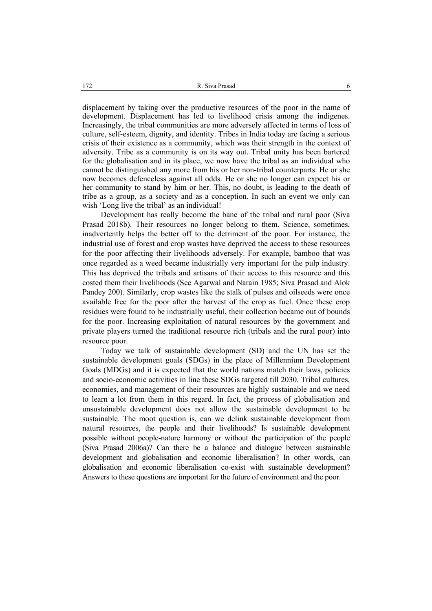displacement by taking over the productive resources of the poor in the name of development. Displacement has led to livelihood crisis among the indigenes. Increasingly, the tribal communities are more adversely affected in terms of loss of culture, self-esteem, dignity, and identity. Tribes in India today are facing a serious crisis of their existence as a community, which was their strength in the context of adversity. Tribe as a community is on its way out. Tribal unity has been bartered for the globalisation and in its place, we now have the tribal as an individual who cannot be distinguished any more from his or her non-tribal counterparts. He or she now becomes defenceless against all odds. He or she no longer can expect his or her community to stand by him or her. This, no doubt, is leading to the death of tribe as a group, as a society and as a conception. In such an event we only can wish 'Long live the tribal' as an individual!

Development has really become the bane of the tribal and rural poor (Siva Prasad 2018b). Their resources no longer belong to them. Science, sometimes, inadvertently helps the better off to the detriment of the poor. For instance, the industrial use of forest and crop wastes have deprived the access to these resources for the poor affecting their livelihoods adversely. For example, bamboo that was once regarded as a weed became industrially very important for the pulp industry. This has deprived the tribals and artisans of their access to this resource and this costed them their livelihoods (See Agarwal and Narain 1985; Siva Prasad and Alok Pandey 200). Similarly, crop wastes like the stalk of pulses and oilseeds were once available free for the poor after the harvest of the crop as fuel. Once these crop residues were found to be industrially useful, their collection became out of bounds for the poor. Increasing exploitation of natural resources by the government and private players turned the traditional resource rich (tribals and the rural poor) into resource poor.

Today we talk of sustainable development (SD) and the UN has set the sustainable development goals (SDGs) in the place of Millennium Development Goals (MDGs) and it is expected that the world nations match their laws, policies and socio-economic activities in line these SDGs targeted till 2030. Tribal cultures, economies, and management of their resources are highly sustainable and we need to learn a lot from them in this regard. In fact, the process of globalisation and unsustainable development does not allow the sustainable development to be sustainable. The moot question is, can we delink sustainable development from natural resources, the people and their livelihoods? Is sustainable development possible without people-nature harmony or without the participation of the people (Siva Prasad 2006a)? Can there be a balance and dialogue between sustainable development and globalisation and economic liberalisation? In other words, can globalisation and economic liberalisation co-exist with sustainable development? Answers to these questions are important for the future of environment and the poor.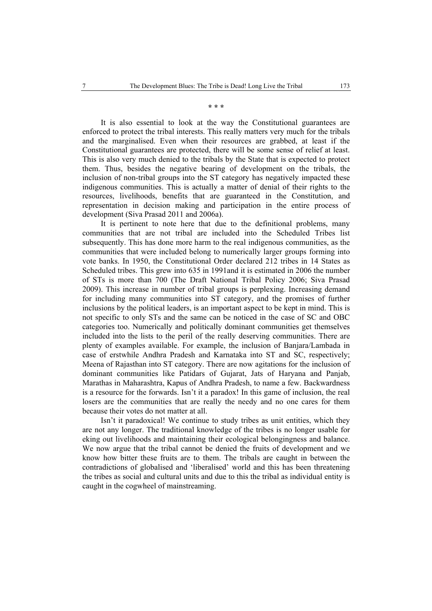**\* \* \*** 

It is also essential to look at the way the Constitutional guarantees are enforced to protect the tribal interests. This really matters very much for the tribals and the marginalised. Even when their resources are grabbed, at least if the Constitutional guarantees are protected, there will be some sense of relief at least. This is also very much denied to the tribals by the State that is expected to protect them. Thus, besides the negative bearing of development on the tribals, the inclusion of non-tribal groups into the ST category has negatively impacted these indigenous communities. This is actually a matter of denial of their rights to the resources, livelihoods, benefits that are guaranteed in the Constitution, and representation in decision making and participation in the entire process of development (Siva Prasad 2011 and 2006a).

It is pertinent to note here that due to the definitional problems, many communities that are not tribal are included into the Scheduled Tribes list subsequently. This has done more harm to the real indigenous communities, as the communities that were included belong to numerically larger groups forming into vote banks. In 1950, the Constitutional Order declared 212 tribes in 14 States as Scheduled tribes. This grew into 635 in 1991and it is estimated in 2006 the number of STs is more than 700 (The Draft National Tribal Policy 2006; Siva Prasad 2009). This increase in number of tribal groups is perplexing. Increasing demand for including many communities into ST category, and the promises of further inclusions by the political leaders, is an important aspect to be kept in mind. This is not specific to only STs and the same can be noticed in the case of SC and OBC categories too. Numerically and politically dominant communities get themselves included into the lists to the peril of the really deserving communities. There are plenty of examples available. For example, the inclusion of Banjara/Lambada in case of erstwhile Andhra Pradesh and Karnataka into ST and SC, respectively; Meena of Rajasthan into ST category. There are now agitations for the inclusion of dominant communities like Patidars of Gujarat, Jats of Haryana and Panjab, Marathas in Maharashtra, Kapus of Andhra Pradesh, to name a few. Backwardness is a resource for the forwards. Isn't it a paradox! In this game of inclusion, the real losers are the communities that are really the needy and no one cares for them because their votes do not matter at all.

Isn't it paradoxical! We continue to study tribes as unit entities, which they are not any longer. The traditional knowledge of the tribes is no longer usable for eking out livelihoods and maintaining their ecological belongingness and balance. We now argue that the tribal cannot be denied the fruits of development and we know how bitter these fruits are to them. The tribals are caught in between the contradictions of globalised and 'liberalised' world and this has been threatening the tribes as social and cultural units and due to this the tribal as individual entity is caught in the cogwheel of mainstreaming.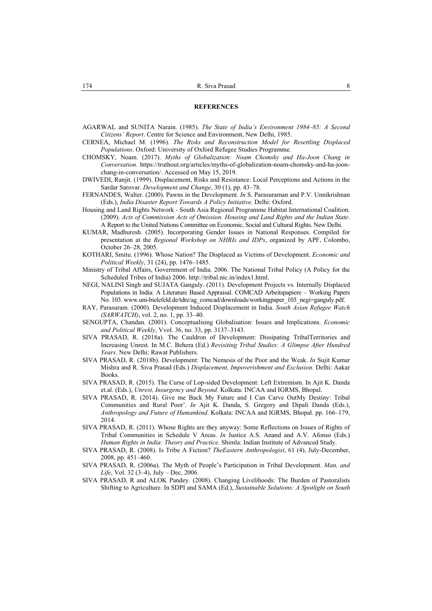- AGARWAL and SUNITA Narain. (1985). *The State of India's Environment 1984–85: A Second Citizens' Report*. Centre for Science and Environment, New Delhi, 1985.
- CERNEA, Michael M. (1996). *The Risks and Reconstruction Model for Resettling Displaced Populations*. Oxford: University of Oxford Refugee Studies Programme.
- CHOMSKY, Noam. (2017). *Myths of Globalization: Noam Chomsky and Ha-Joon Chang in Conversation.* https://truthout.org/articles/myths-of-globalization-noam-chomsky-and-ha-joonchang-in-conversation/. Accessed on May 15, 2019.
- DWIVEDI, Ranjit. (1999). Displacement, Risks and Resistance: Local Perceptions and Actions in the Sardar Sarovar. *Development and Change*, 30 (1), pp. 43–78.
- FERNANDES, Walter. (2000). Pawns in the Development. *In* S. Parasuraman and P.V. Unnikrishnan (Eds.), *India Disaster Report:Towards A Policy Initiative*. Delhi: Oxford.
- Housing and Land Rights Network South Asia Regional Programme Habitat International Coalition. (2009). *Acts of Commission Acts of Omission. Housing and Land Rights and the Indian State*. A Report to the United Nations Committee on Economic, Social and Cultural Rights. New Delhi.
- KUMAR, Madhuresh. (2005). Incorporating Gender Issues in National Responses. Compiled for presentation at the *Regional Workshop on NHRIs and IDPs*, organized by APF, Colombo, October 26–28, 2005.
- KOTHARI, Smitu. (1996). Whose Nation? The Displaced as Victims of Development. *Economic and Political Weekly*, 31 (24), pp. 1476–1485.
- Ministry of Tribal Affairs, Government of India. 2006. The National Tribal Policy (A Policy for the Scheduled Tribes of India) 2006. http://tribal.nic.in/index1.html.
- NEGI, NALINI Singh and SUJATA Ganguly. (2011). Development Projects vs. Internally Displaced Populations in India: A Literature Based Appraisal. COMCAD Arbeitspapiere – Working Papers No. 103. www.uni-bielefeld.de/tdre/ag\_comcad/downloads/workingpaper\_103\_negi=ganguly.pdf.
- RAY, Parasuram. (2000). Development Induced Displacement in India. *South Asian Refugee Watch (SARWATCH)*, vol. 2, no. 1, pp. 33–40.
- SENGUPTA, Chandan. (2001). Conceptualising Globalisation: Issues and Implications. *Economic and Political Weekly*, Vvol. 36, no. 33, pp. 3137–3143.
- SIVA PRASAD, R. (2018a). The Cauldron of Development: Dissipating TribalTerritories and Increasing Unrest. In M.C. Behera (Ed.) *Revisiting Tribal Studies: A Glimpse After Hundred Years*. New Delhi: Rawat Publishers.
- SIVA PRASAD, R. (2018b). Development: The Nemesis of the Poor and the Weak. *In* Sujit Kumar Mishra and R. Siva Prasad (Eds.) *Displacement, Impoverishment and Exclusion*. Delhi: Aakar Books.
- SIVA PRASAD, R. (2015). The Curse of Lop-sided Development: Left Extremism. In Ajit K. Danda et.al. (Eds.), *Unrest, Insurgency and Beyond*. Kolkata: INCAA and IGRMS, Bhopal.
- SIVA PRASAD, R. (2014). Give me Back My Future and I Can Carve OutMy Destiny: Tribal Communities and Rural Poor'. *In* Ajit K. Danda, S. Gregory and Dipali Danda (Eds.), *Anthropology and Future of Humankind*. Kolkata: INCAA and IGRMS, Bhopal. pp. 166–179, 2014.
- SIVA PRASAD, R. (2011). Whose Rights are they anyway: Some Reflections on Issues of Rights of Tribal Communities in Schedule V Areas. *In* Justice A.S. Anand and A.V. Afonso (Eds.) *Human Rights in India: Theory and Practice*. Shimla: Indian Institute of Advanced Study.
- SIVA PRASAD, R. (2008). Is Tribe A Fiction? *TheEastern Anthropologist*, 61 (4), July-December, 2008, pp. 451–460.
- SIVA PRASAD, R. (2006a). The Myth of People's Participation in Tribal Development. *Man, and Life*, Vol. 32 (3–4), July – Dec, 2006.
- SIVA PRASAD, R and ALOK Pandey. (2008). Changing Livelihoods: The Burden of Pastoralists Shifting to Agriculture. In SDPI and SAMA (Ed.), *Sustainable Solutions: A Spotlight on South*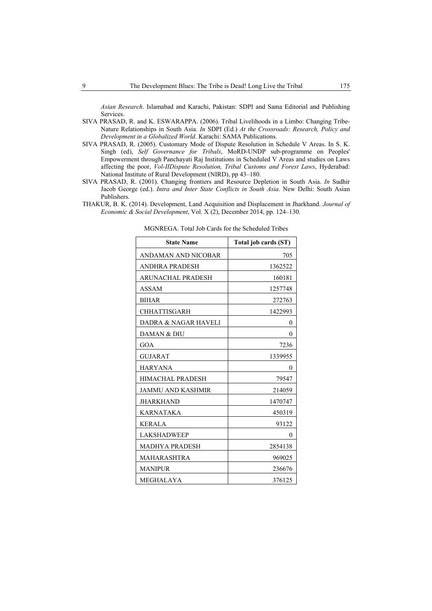*Asian Research*. Islamabad and Karachi, Pakistan: SDPI and Sama Editorial and Publishing Services.

- SIVA PRASAD, R. and K. ESWARAPPA. (2006). Tribal Livelihoods in a Limbo: Changing Tribe-Nature Relationships in South Asia. *In* SDPI (Ed.) *At the Crossroads: Research, Policy and Development in a Globalized World*. Karachi: SAMA Publications.
- SIVA PRASAD, R. (2005). Customary Mode of Dispute Resolution in Schedule V Areas. In S. K. Singh (ed), *Self Governance for Tribals*, MoRD-UNDP sub-programme on Peoples' Empowerment through Panchayati Raj Institutions in Scheduled V Areas and studies on Laws affecting the poor, *Vol-IIDispute Resolution, Tribal Customs and Forest Laws*, Hyderabad: National Institute of Rural Development (NIRD), pp 43–180.
- SIVA PRASAD, R. (2001). Changing frontiers and Resource Depletion in South Asia. *In* Sudhir Jacob George (ed.). *Intra and Inter State Conflicts in South Asia*. New Delhi: South Asian Publishers.
- THAKUR, B. K. (2014). Development, Land Acquisition and Displacement in Jharkhand. *Journal of Economic & Social Development*, Vol. X (2), December 2014, pp. 124–130.

| <b>State Name</b>        | Total job cards (ST) |
|--------------------------|----------------------|
| ANDAMAN AND NICOBAR      | 705                  |
| <b>ANDHRA PRADESH</b>    | 1362522              |
| ARUNACHAL PRADESH        | 160181               |
| ASSAM                    | 1257748              |
| <b>BIHAR</b>             | 272763               |
| <b>CHHATTISGARH</b>      | 1422993              |
| DADRA & NAGAR HAVELI     | 0                    |
| DAMAN & DIU              | 0                    |
| GOA                      | 7236                 |
| <b>GUJARAT</b>           | 1339955              |
| <b>HARYANA</b>           | 0                    |
| HIMACHAL PRADESH         | 79547                |
| <b>JAMMU AND KASHMIR</b> | 214059               |
| JHARKHAND                | 1470747              |
| KARNATAKA                | 450319               |
| <b>KERALA</b>            | 93122                |
| <b>LAKSHADWEEP</b>       | $\theta$             |
| <b>MADHYA PRADESH</b>    | 2854138              |
| MAHARASHTRA              | 969025               |
| <b>MANIPUR</b>           | 236676               |
| MEGHALAYA                | 376125               |

MGNREGA. Total Job Cards for the Scheduled Tribes